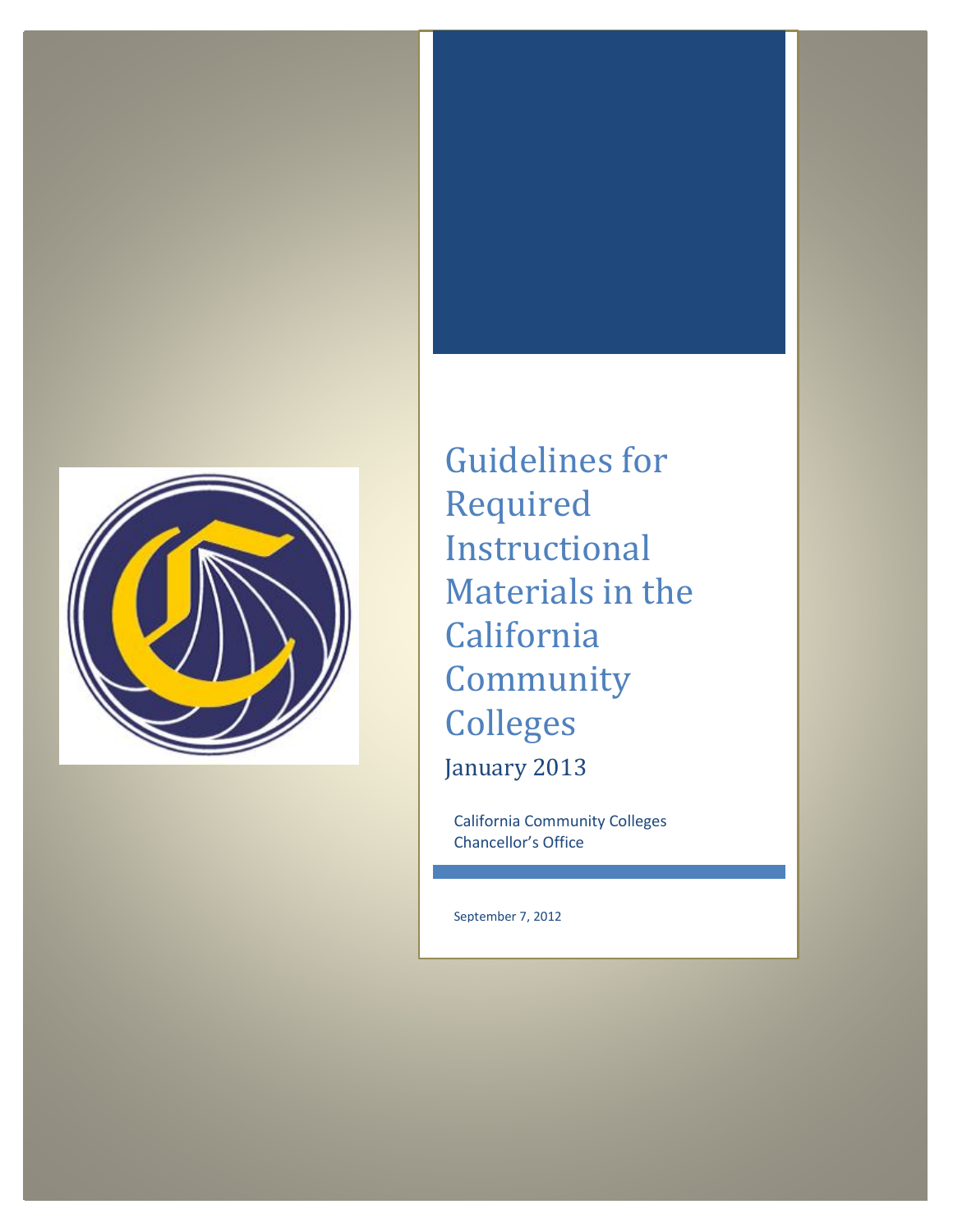

Guidelines for Required Instructional Materials in the California Community Colleges January 2013

California Community Colleges Chancellor's Office

September 7, 2012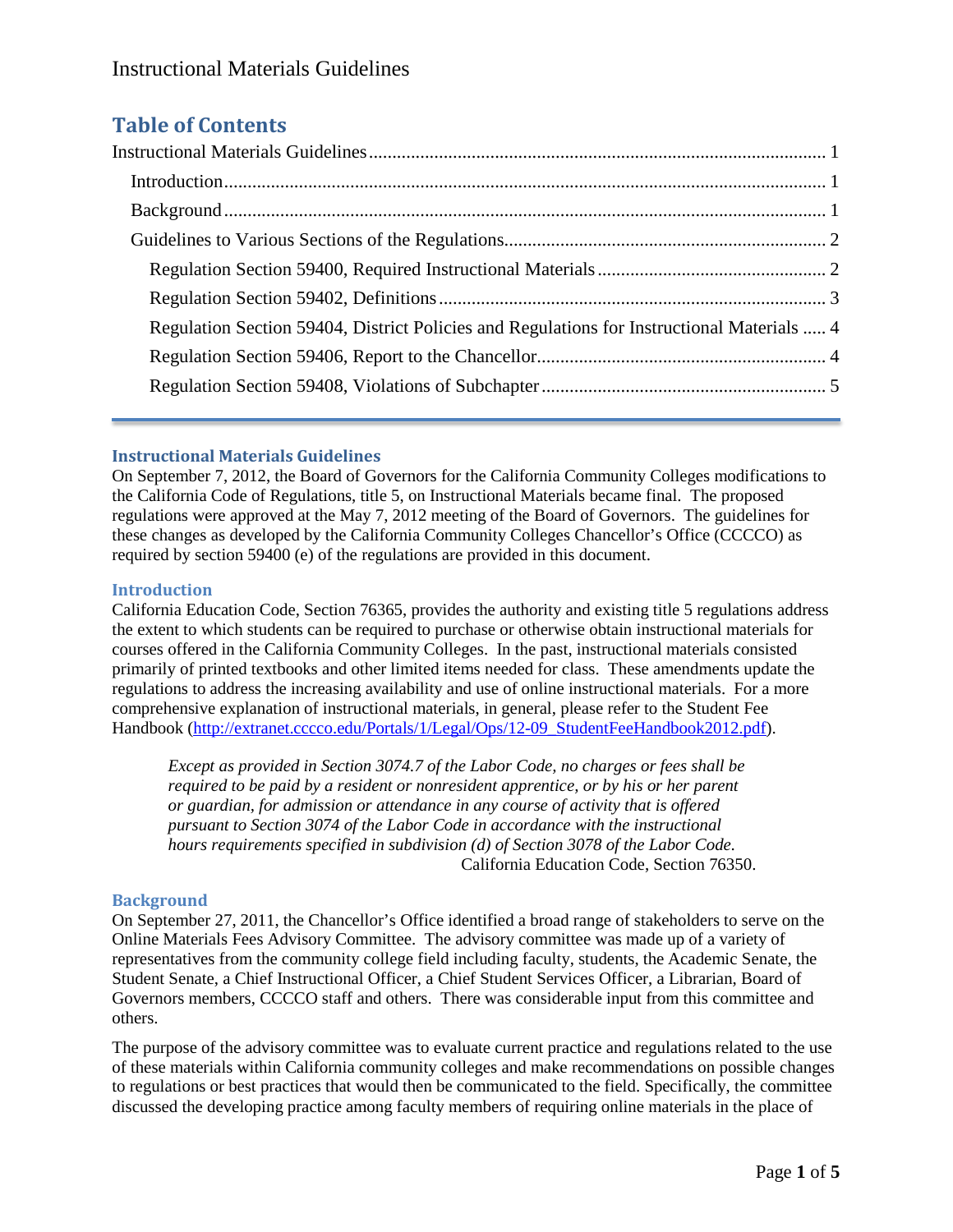# **Table of Contents**

| Regulation Section 59404, District Policies and Regulations for Instructional Materials  4 |  |
|--------------------------------------------------------------------------------------------|--|
|                                                                                            |  |
|                                                                                            |  |
|                                                                                            |  |

## <span id="page-1-0"></span>**Instructional Materials Guidelines**

On September 7, 2012, the Board of Governors for the California Community Colleges modifications to the California Code of Regulations, title 5, on Instructional Materials became final. The proposed regulations were approved at the May 7, 2012 meeting of the Board of Governors. The guidelines for these changes as developed by the California Community Colleges Chancellor's Office (CCCCO) as required by section 59400 (e) of the regulations are provided in this document.

## <span id="page-1-1"></span>**Introduction**

California Education Code, Section 76365, provides the authority and existing title 5 regulations address the extent to which students can be required to purchase or otherwise obtain instructional materials for courses offered in the California Community Colleges. In the past, instructional materials consisted primarily of printed textbooks and other limited items needed for class. These amendments update the regulations to address the increasing availability and use of online instructional materials. For a more comprehensive explanation of instructional materials, in general, please refer to the Student Fee Handbook [\(http://extranet.cccco.edu/Portals/1/Legal/Ops/12-09\\_StudentFeeHandbook2012.pdf\)](http://extranet.cccco.edu/Portals/1/Legal/Ops/12-09_StudentFeeHandbook2012.pdf).

<span id="page-1-2"></span>*Except as provided in Section 3074.7 of the Labor Code, no charges or fees shall be required to be paid by a resident or nonresident apprentice, or by his or her parent or guardian, for admission or attendance in any course of activity that is offered pursuant to Section 3074 of the Labor Code in accordance with the instructional hours requirements specified in subdivision (d) of Section 3078 of the Labor Code.* California Education Code, Section 76350.

## **Background**

On September 27, 2011, the Chancellor's Office identified a broad range of stakeholders to serve on the Online Materials Fees Advisory Committee. The advisory committee was made up of a variety of representatives from the community college field including faculty, students, the Academic Senate, the Student Senate, a Chief Instructional Officer, a Chief Student Services Officer, a Librarian, Board of Governors members, CCCCO staff and others. There was considerable input from this committee and others.

The purpose of the advisory committee was to evaluate current practice and regulations related to the use of these materials within California community colleges and make recommendations on possible changes to regulations or best practices that would then be communicated to the field. Specifically, the committee discussed the developing practice among faculty members of requiring online materials in the place of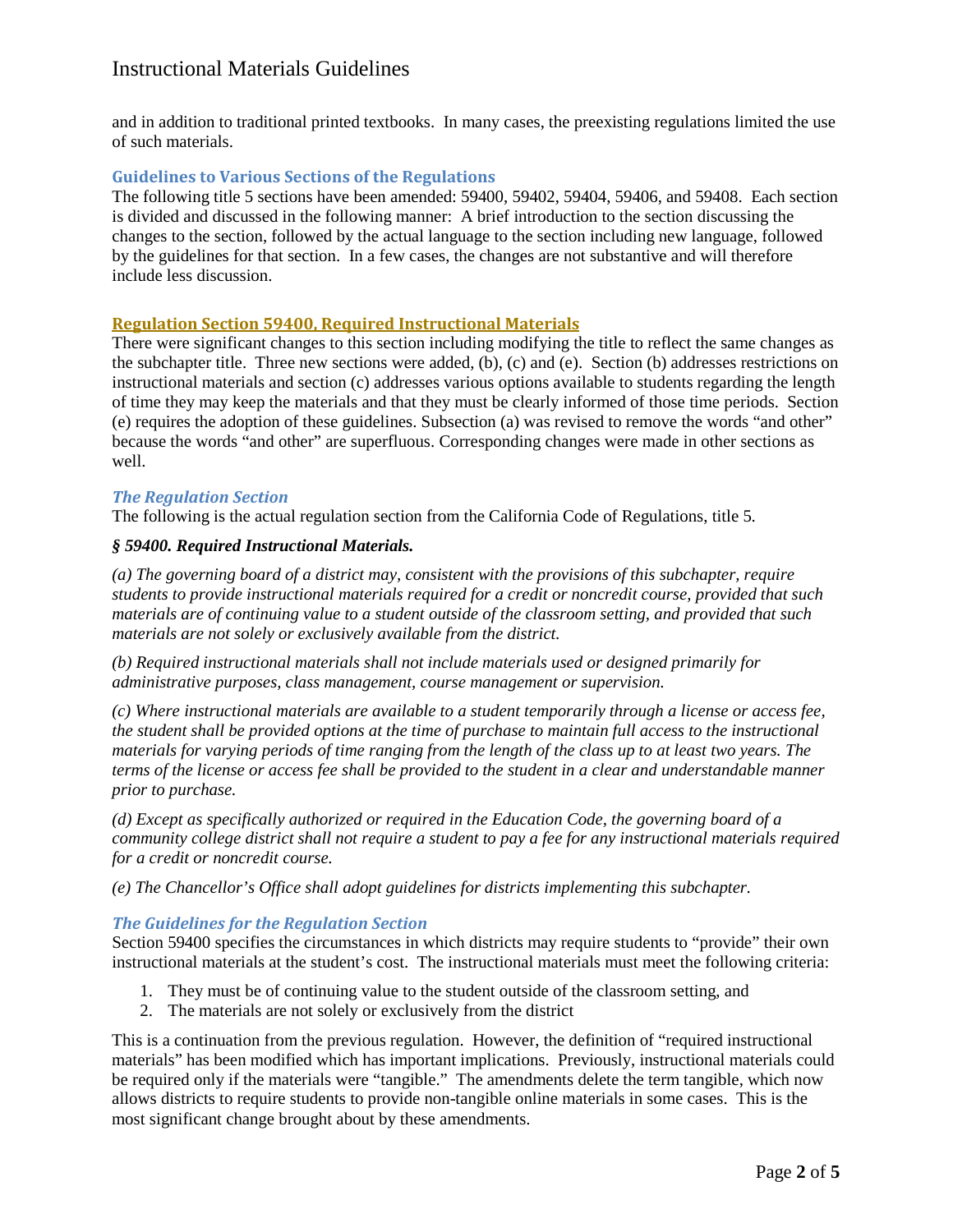## Instructional Materials Guidelines

and in addition to traditional printed textbooks. In many cases, the preexisting regulations limited the use of such materials.

#### <span id="page-2-0"></span>**Guidelines to Various Sections of the Regulations**

The following title 5 sections have been amended: 59400, 59402, 59404, 59406, and 59408. Each section is divided and discussed in the following manner: A brief introduction to the section discussing the changes to the section, followed by the actual language to the section including new language, followed by the guidelines for that section. In a few cases, the changes are not substantive and will therefore include less discussion.

#### <span id="page-2-1"></span>**Regulation Section 59400, Required Instructional Materials**

There were significant changes to this section including modifying the title to reflect the same changes as the subchapter title. Three new sections were added, (b), (c) and (e). Section (b) addresses restrictions on instructional materials and section (c) addresses various options available to students regarding the length of time they may keep the materials and that they must be clearly informed of those time periods. Section (e) requires the adoption of these guidelines. Subsection (a) was revised to remove the words "and other" because the words "and other" are superfluous. Corresponding changes were made in other sections as well.

#### *The Regulation Section*

The following is the actual regulation section from the California Code of Regulations, title 5.

#### *§ 59400. Required Instructional Materials.*

*(a) The governing board of a district may, consistent with the provisions of this subchapter, require students to provide instructional materials required for a credit or noncredit course, provided that such materials are of continuing value to a student outside of the classroom setting, and provided that such materials are not solely or exclusively available from the district.*

*(b) Required instructional materials shall not include materials used or designed primarily for administrative purposes, class management, course management or supervision.* 

*(c) Where instructional materials are available to a student temporarily through a license or access fee, the student shall be provided options at the time of purchase to maintain full access to the instructional materials for varying periods of time ranging from the length of the class up to at least two years. The terms of the license or access fee shall be provided to the student in a clear and understandable manner prior to purchase.*

*(d) Except as specifically authorized or required in the Education Code, the governing board of a community college district shall not require a student to pay a fee for any instructional materials required for a credit or noncredit course.*

*(e) The Chancellor's Office shall adopt guidelines for districts implementing this subchapter.*

## *The Guidelines for the Regulation Section*

Section 59400 specifies the circumstances in which districts may require students to "provide" their own instructional materials at the student's cost. The instructional materials must meet the following criteria:

- 1. They must be of continuing value to the student outside of the classroom setting, and
- 2. The materials are not solely or exclusively from the district

This is a continuation from the previous regulation. However, the definition of "required instructional materials" has been modified which has important implications. Previously, instructional materials could be required only if the materials were "tangible." The amendments delete the term tangible, which now allows districts to require students to provide non-tangible online materials in some cases. This is the most significant change brought about by these amendments.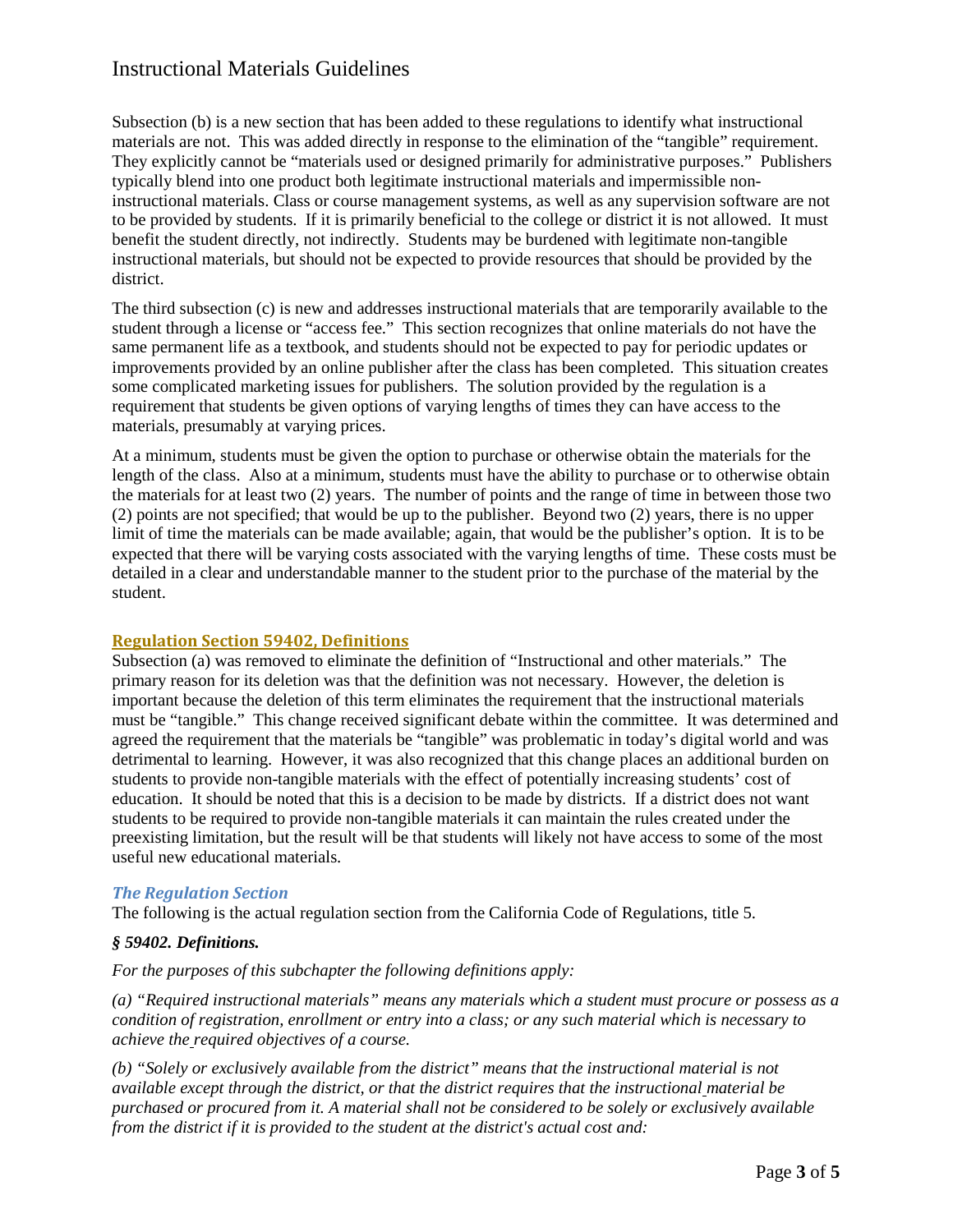## Instructional Materials Guidelines

Subsection (b) is a new section that has been added to these regulations to identify what instructional materials are not. This was added directly in response to the elimination of the "tangible" requirement. They explicitly cannot be "materials used or designed primarily for administrative purposes." Publishers typically blend into one product both legitimate instructional materials and impermissible noninstructional materials. Class or course management systems, as well as any supervision software are not to be provided by students. If it is primarily beneficial to the college or district it is not allowed. It must benefit the student directly, not indirectly. Students may be burdened with legitimate non-tangible instructional materials, but should not be expected to provide resources that should be provided by the district.

The third subsection (c) is new and addresses instructional materials that are temporarily available to the student through a license or "access fee." This section recognizes that online materials do not have the same permanent life as a textbook, and students should not be expected to pay for periodic updates or improvements provided by an online publisher after the class has been completed. This situation creates some complicated marketing issues for publishers. The solution provided by the regulation is a requirement that students be given options of varying lengths of times they can have access to the materials, presumably at varying prices.

At a minimum, students must be given the option to purchase or otherwise obtain the materials for the length of the class. Also at a minimum, students must have the ability to purchase or to otherwise obtain the materials for at least two (2) years. The number of points and the range of time in between those two (2) points are not specified; that would be up to the publisher. Beyond two (2) years, there is no upper limit of time the materials can be made available; again, that would be the publisher's option. It is to be expected that there will be varying costs associated with the varying lengths of time. These costs must be detailed in a clear and understandable manner to the student prior to the purchase of the material by the student.

## <span id="page-3-0"></span>**Regulation Section 59402, Definitions**

Subsection (a) was removed to eliminate the definition of "Instructional and other materials." The primary reason for its deletion was that the definition was not necessary. However, the deletion is important because the deletion of this term eliminates the requirement that the instructional materials must be "tangible." This change received significant debate within the committee. It was determined and agreed the requirement that the materials be "tangible" was problematic in today's digital world and was detrimental to learning. However, it was also recognized that this change places an additional burden on students to provide non-tangible materials with the effect of potentially increasing students' cost of education. It should be noted that this is a decision to be made by districts. If a district does not want students to be required to provide non-tangible materials it can maintain the rules created under the preexisting limitation, but the result will be that students will likely not have access to some of the most useful new educational materials.

## *The Regulation Section*

The following is the actual regulation section from the California Code of Regulations, title 5.

## *§ 59402. Definitions.*

## *For the purposes of this subchapter the following definitions apply:*

*(a) "Required instructional materials" means any materials which a student must procure or possess as a condition of registration, enrollment or entry into a class; or any such material which is necessary to achieve the required objectives of a course.*

*(b) "Solely or exclusively available from the district" means that the instructional material is not available except through the district, or that the district requires that the instructional material be purchased or procured from it. A material shall not be considered to be solely or exclusively available from the district if it is provided to the student at the district's actual cost and:*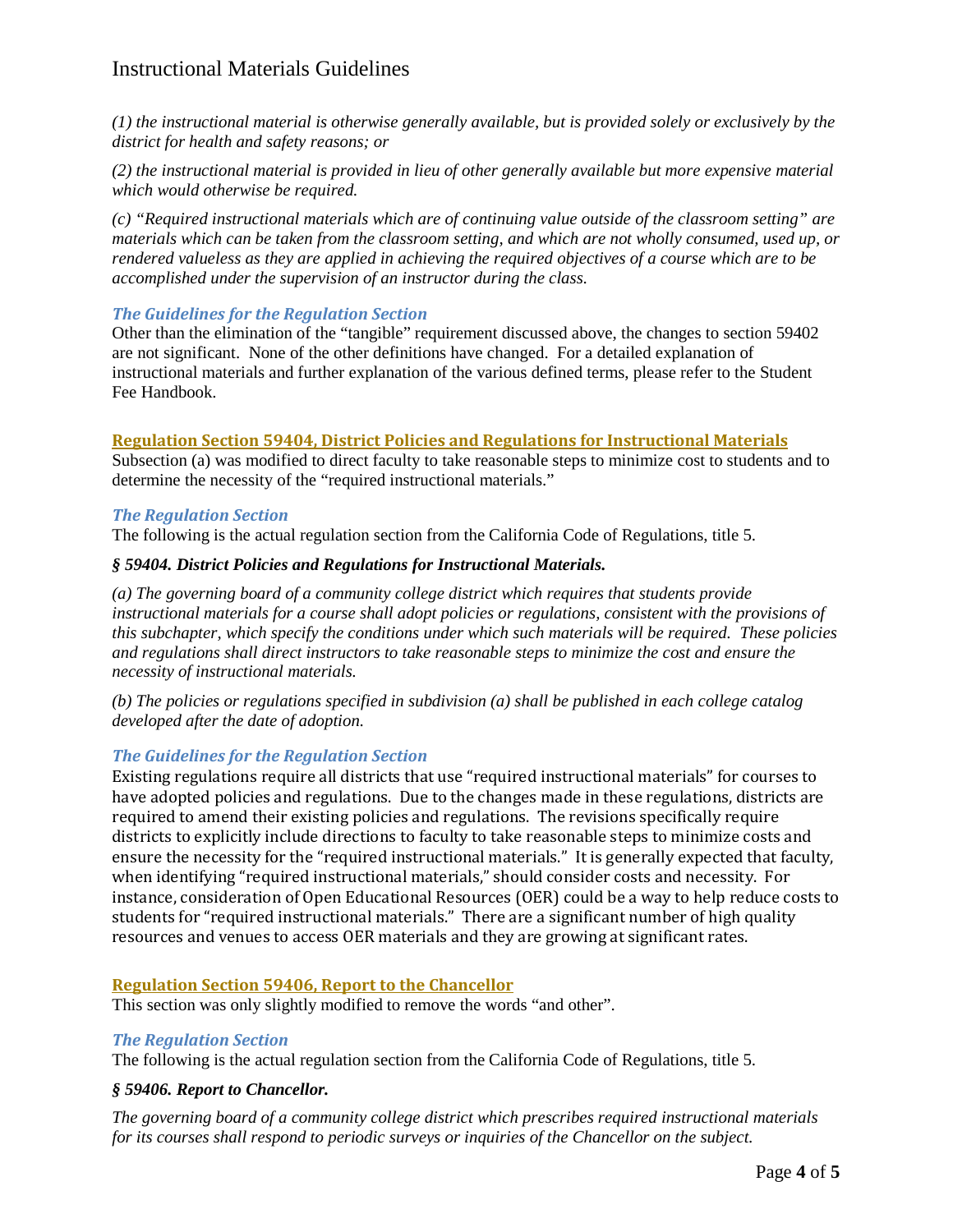## Instructional Materials Guidelines

*(1) the instructional material is otherwise generally available, but is provided solely or exclusively by the district for health and safety reasons; or* 

*(2) the instructional material is provided in lieu of other generally available but more expensive material which would otherwise be required.* 

*(c) "Required instructional materials which are of continuing value outside of the classroom setting" are materials which can be taken from the classroom setting, and which are not wholly consumed, used up, or rendered valueless as they are applied in achieving the required objectives of a course which are to be accomplished under the supervision of an instructor during the class.*

## *The Guidelines for the Regulation Section*

Other than the elimination of the "tangible" requirement discussed above, the changes to section 59402 are not significant. None of the other definitions have changed. For a detailed explanation of instructional materials and further explanation of the various defined terms, please refer to the Student Fee Handbook.

## <span id="page-4-0"></span>**Regulation Section 59404, District Policies and Regulations for Instructional Materials**

Subsection (a) was modified to direct faculty to take reasonable steps to minimize cost to students and to determine the necessity of the "required instructional materials."

## *The Regulation Section*

The following is the actual regulation section from the California Code of Regulations, title 5.

## *§ 59404. District Policies and Regulations for Instructional Materials.*

*(a) The governing board of a community college district which requires that students provide instructional materials for a course shall adopt policies or regulations, consistent with the provisions of this subchapter, which specify the conditions under which such materials will be required. These policies and regulations shall direct instructors to take reasonable steps to minimize the cost and ensure the necessity of instructional materials.*

*(b) The policies or regulations specified in subdivision (a) shall be published in each college catalog developed after the date of adoption.*

## *The Guidelines for the Regulation Section*

Existing regulations require all districts that use "required instructional materials" for courses to have adopted policies and regulations. Due to the changes made in these regulations, districts are required to amend their existing policies and regulations. The revisions specifically require districts to explicitly include directions to faculty to take reasonable steps to minimize costs and ensure the necessity for the "required instructional materials." It is generally expected that faculty, when identifying "required instructional materials," should consider costs and necessity. For instance, consideration of Open Educational Resources (OER) could be a way to help reduce costs to students for "required instructional materials." There are a significant number of high quality resources and venues to access OER materials and they are growing at significant rates.

## <span id="page-4-1"></span>**Regulation Section 59406, Report to the Chancellor**

This section was only slightly modified to remove the words "and other".

## *The Regulation Section*

The following is the actual regulation section from the California Code of Regulations, title 5.

## *§ 59406. Report to Chancellor.*

*The governing board of a community college district which prescribes required instructional materials for its courses shall respond to periodic surveys or inquiries of the Chancellor on the subject.*